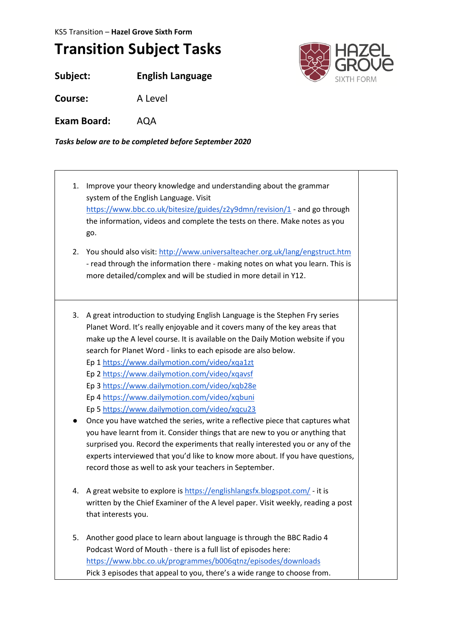KS5 Transition – **Hazel Grove Sixth Form**

## **Transition Subject Tasks**

**Subject: English Language**

**Course:** A Level

**Exam Board:** AQA

*Tasks below are to be completed before September 2020*

1. Improve your theory knowledge and understanding about the grammar system of the English Language. Visit <https://www.bbc.co.uk/bitesize/guides/z2y9dmn/revision/1> - and go through the information, videos and complete the tests on there. Make notes as you go. 2. You should also visit:<http://www.universalteacher.org.uk/lang/engstruct.htm> - read through the information there - making notes on what you learn. This is more detailed/complex and will be studied in more detail in Y12. 3. A great introduction to studying English Language is the Stephen Fry series Planet Word. It's really enjoyable and it covers many of the key areas that make up the A level course. It is available on the Daily Motion website if you search for Planet Word - links to each episode are also below. Ep 1<https://www.dailymotion.com/video/xqa1zt> Ep 2<https://www.dailymotion.com/video/xqavsf> Ep 3<https://www.dailymotion.com/video/xqb28e> Ep 4<https://www.dailymotion.com/video/xqbuni> Ep 5<https://www.dailymotion.com/video/xqcu23> ● Once you have watched the series, write a reflective piece that captures what you have learnt from it. Consider things that are new to you or anything that surprised you. Record the experiments that really interested you or any of the experts interviewed that you'd like to know more about. If you have questions, record those as well to ask your teachers in September. 4. A great website to explore is<https://englishlangsfx.blogspot.com/> - it is written by the Chief Examiner of the A level paper. Visit weekly, reading a post that interests you. 5. Another good place to learn about language is through the BBC Radio 4 Podcast Word of Mouth - there is a full list of episodes here: <https://www.bbc.co.uk/programmes/b006qtnz/episodes/downloads> Pick 3 episodes that appeal to you, there's a wide range to choose from.